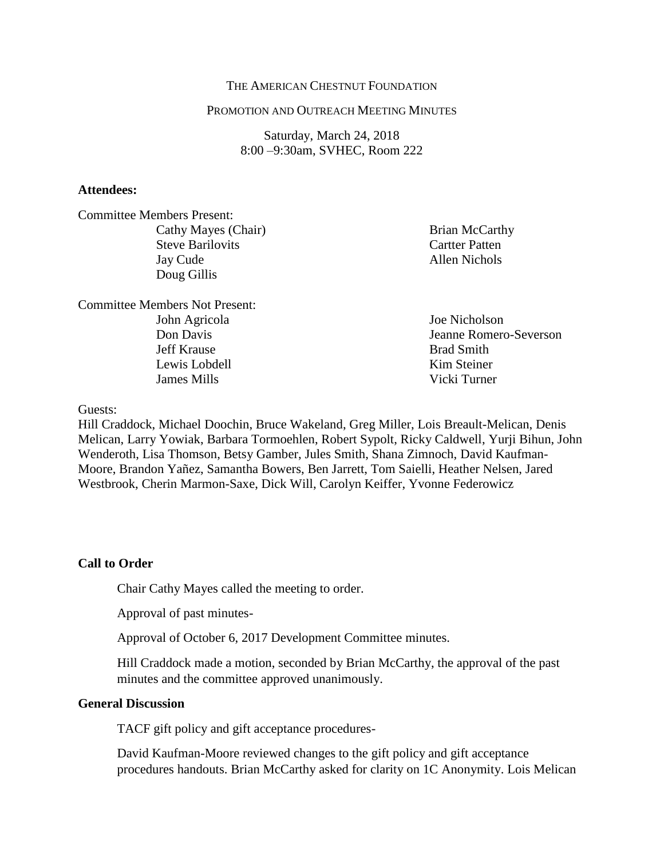### THE AMERICAN CHESTNUT FOUNDATION

#### PROMOTION AND OUTREACH MEETING MINUTES

Saturday, March 24, 2018 8:00 –9:30am, SVHEC, Room 222

### **Attendees:**

Committee Members Present: Cathy Mayes (Chair) Steve Barilovits Jay Cude Doug Gillis

Committee Members Not Present: John Agricola Don Davis Jeff Krause Lewis Lobdell James Mills

Brian McCarthy Cartter Patten Allen Nichols

Joe Nicholson Jeanne Romero-Severson Brad Smith Kim Steiner Vicki Turner

Guests:

Hill Craddock, Michael Doochin, Bruce Wakeland, Greg Miller, Lois Breault-Melican, Denis Melican, Larry Yowiak, Barbara Tormoehlen, Robert Sypolt, Ricky Caldwell, Yurji Bihun, John Wenderoth, Lisa Thomson, Betsy Gamber, Jules Smith, Shana Zimnoch, David Kaufman-Moore, Brandon Yañez, Samantha Bowers, Ben Jarrett, Tom Saielli, Heather Nelsen, Jared Westbrook, Cherin Marmon-Saxe, Dick Will, Carolyn Keiffer, Yvonne Federowicz

### **Call to Order**

Chair Cathy Mayes called the meeting to order.

Approval of past minutes-

Approval of October 6, 2017 Development Committee minutes.

Hill Craddock made a motion, seconded by Brian McCarthy, the approval of the past minutes and the committee approved unanimously.

#### **General Discussion**

TACF gift policy and gift acceptance procedures-

David Kaufman-Moore reviewed changes to the gift policy and gift acceptance procedures handouts. Brian McCarthy asked for clarity on 1C Anonymity. Lois Melican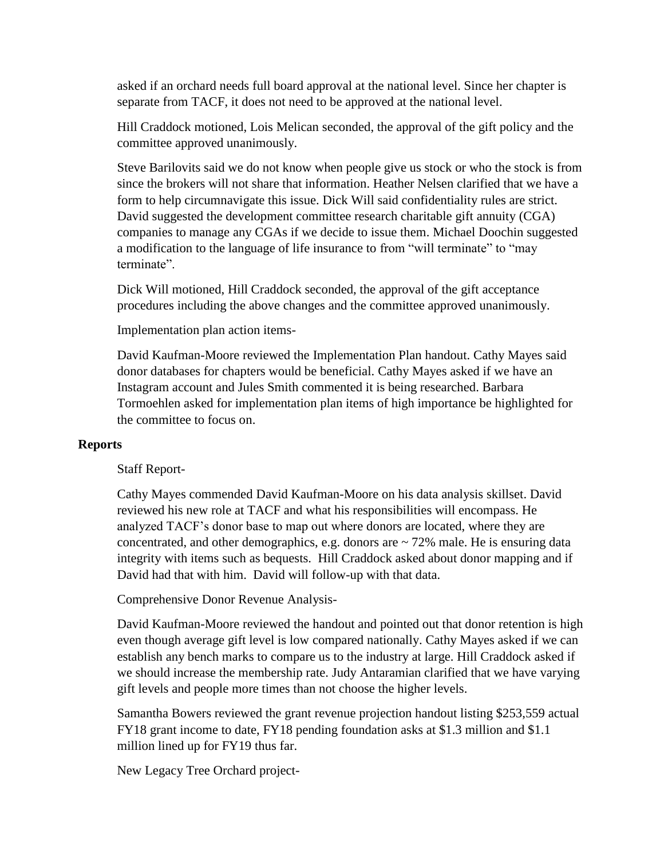asked if an orchard needs full board approval at the national level. Since her chapter is separate from TACF, it does not need to be approved at the national level.

Hill Craddock motioned, Lois Melican seconded, the approval of the gift policy and the committee approved unanimously.

Steve Barilovits said we do not know when people give us stock or who the stock is from since the brokers will not share that information. Heather Nelsen clarified that we have a form to help circumnavigate this issue. Dick Will said confidentiality rules are strict. David suggested the development committee research charitable gift annuity (CGA) companies to manage any CGAs if we decide to issue them. Michael Doochin suggested a modification to the language of life insurance to from "will terminate" to "may terminate".

Dick Will motioned, Hill Craddock seconded, the approval of the gift acceptance procedures including the above changes and the committee approved unanimously.

Implementation plan action items-

David Kaufman-Moore reviewed the Implementation Plan handout. Cathy Mayes said donor databases for chapters would be beneficial. Cathy Mayes asked if we have an Instagram account and Jules Smith commented it is being researched. Barbara Tormoehlen asked for implementation plan items of high importance be highlighted for the committee to focus on.

# **Reports**

# Staff Report-

Cathy Mayes commended David Kaufman-Moore on his data analysis skillset. David reviewed his new role at TACF and what his responsibilities will encompass. He analyzed TACF's donor base to map out where donors are located, where they are concentrated, and other demographics, e.g. donors are  $\sim$  72% male. He is ensuring data integrity with items such as bequests. Hill Craddock asked about donor mapping and if David had that with him. David will follow-up with that data.

Comprehensive Donor Revenue Analysis-

David Kaufman-Moore reviewed the handout and pointed out that donor retention is high even though average gift level is low compared nationally. Cathy Mayes asked if we can establish any bench marks to compare us to the industry at large. Hill Craddock asked if we should increase the membership rate. Judy Antaramian clarified that we have varying gift levels and people more times than not choose the higher levels.

Samantha Bowers reviewed the grant revenue projection handout listing \$253,559 actual FY18 grant income to date, FY18 pending foundation asks at \$1.3 million and \$1.1 million lined up for FY19 thus far.

New Legacy Tree Orchard project-